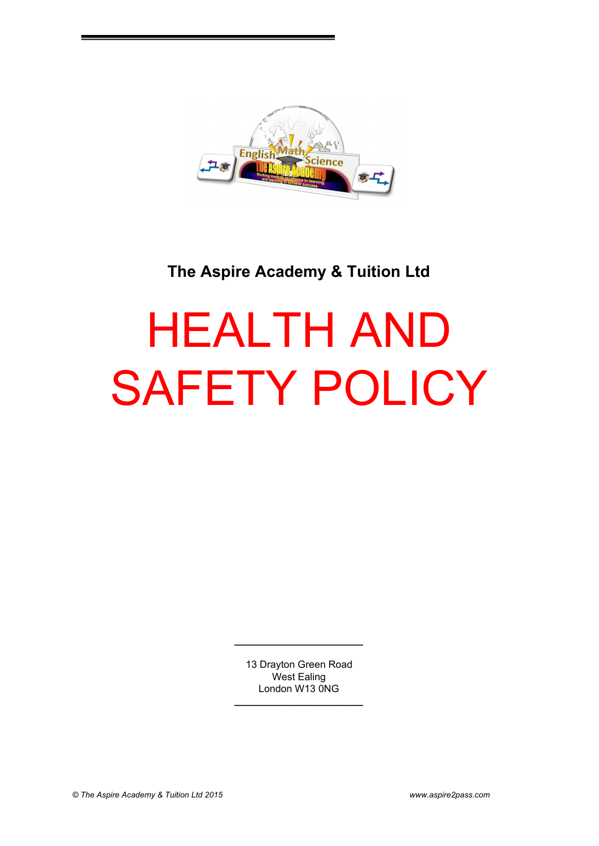

# **The Aspire Academy & Tuition Ltd**

# HEALTH AND SAFETY POLICY

13 Drayton Green Road West Ealing London W13 0NG

**\_\_\_\_\_\_\_\_\_\_\_\_\_\_\_\_\_\_\_\_\_\_\_**

**\_\_\_\_\_\_\_\_\_\_\_\_\_\_\_\_\_\_\_\_\_\_\_**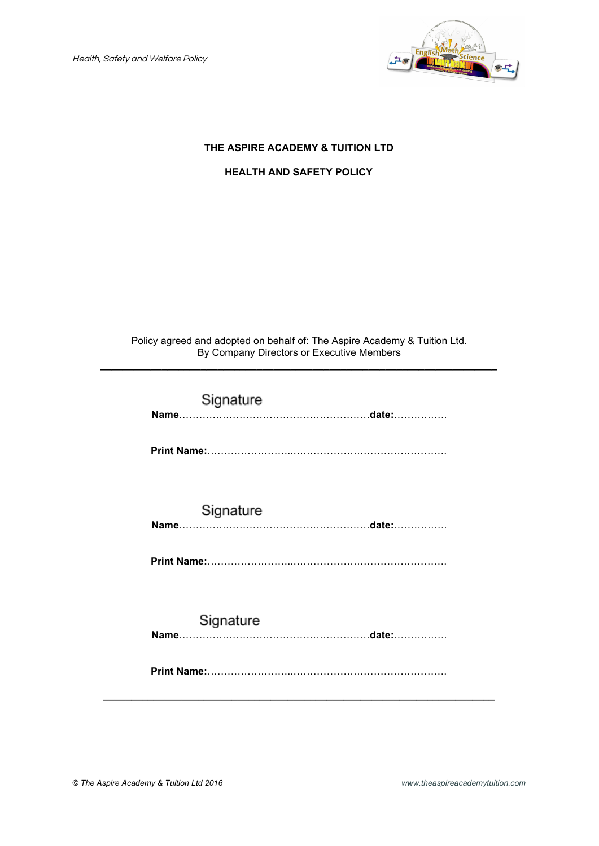Health, Safety and Welfare Policy



# **THE ASPIRE ACADEMY & TUITION LTD**

# **HEALTH AND SAFETY POLICY**

Policy agreed and adopted on behalf of: The Aspire Academy & Tuition Ltd. By Company Directors or Executive Members **\_\_\_\_\_\_\_\_\_\_\_\_\_\_\_\_\_\_\_\_\_\_\_\_\_\_\_\_\_\_\_\_\_\_\_\_\_\_\_\_\_\_\_\_\_\_\_\_\_\_\_\_\_\_\_\_\_\_\_\_\_\_\_\_\_\_\_\_\_\_\_**

| Signature |  |
|-----------|--|
|           |  |
| Signature |  |
| Signature |  |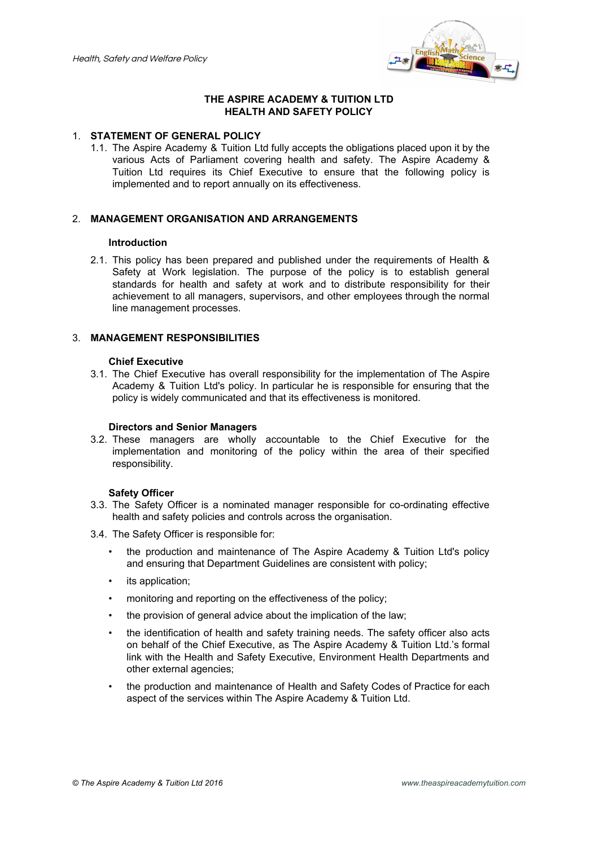

### **THE ASPIRE ACADEMY & TUITION LTD HEALTH AND SAFETY POLICY**

#### 1. **STATEMENT OF GENERAL POLICY**

1.1. The Aspire Academy & Tuition Ltd fully accepts the obligations placed upon it by the various Acts of Parliament covering health and safety. The Aspire Academy & Tuition Ltd requires its Chief Executive to ensure that the following policy is implemented and to report annually on its effectiveness.

# 2. **MANAGEMENT ORGANISATION AND ARRANGEMENTS**

#### **Introduction**

2.1. This policy has been prepared and published under the requirements of Health & Safety at Work legislation. The purpose of the policy is to establish general standards for health and safety at work and to distribute responsibility for their achievement to all managers, supervisors, and other employees through the normal line management processes.

#### 3. **MANAGEMENT RESPONSIBILITIES**

#### **Chief Executive**

3.1. The Chief Executive has overall responsibility for the implementation of The Aspire Academy & Tuition Ltd's policy. In particular he is responsible for ensuring that the policy is widely communicated and that its effectiveness is monitored.

#### **Directors and Senior Managers**

3.2. These managers are wholly accountable to the Chief Executive for the implementation and monitoring of the policy within the area of their specified responsibility.

#### **Safety Officer**

- 3.3. The Safety Officer is a nominated manager responsible for co-ordinating effective health and safety policies and controls across the organisation.
- 3.4. The Safety Officer is responsible for:
	- the production and maintenance of The Aspire Academy & Tuition Ltd's policy and ensuring that Department Guidelines are consistent with policy;
	- its application;
	- monitoring and reporting on the effectiveness of the policy;
	- the provision of general advice about the implication of the law;
	- the identification of health and safety training needs. The safety officer also acts on behalf of the Chief Executive, as The Aspire Academy & Tuition Ltd.'s formal link with the Health and Safety Executive, Environment Health Departments and other external agencies;
	- the production and maintenance of Health and Safety Codes of Practice for each aspect of the services within The Aspire Academy & Tuition Ltd.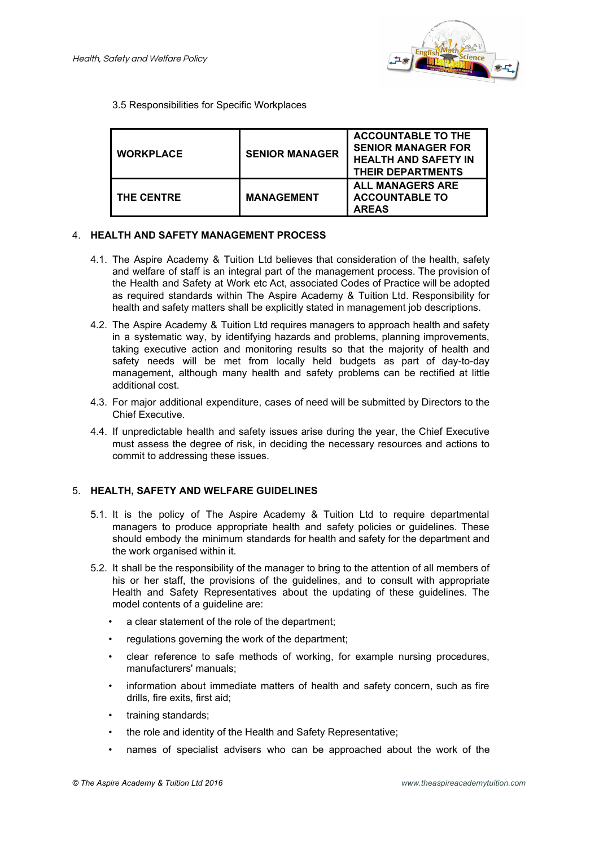

#### 3.5 Responsibilities for Specific Workplaces

| <b>WORKPLACE</b>  | <b>SENIOR MANAGER</b> | <b>ACCOUNTABLE TO THE</b><br><b>SENIOR MANAGER FOR</b><br><b>HEALTH AND SAFETY IN</b><br><b>THEIR DEPARTMENTS</b> |
|-------------------|-----------------------|-------------------------------------------------------------------------------------------------------------------|
| <b>THE CENTRE</b> | <b>MANAGEMENT</b>     | <b>ALL MANAGERS ARE</b><br><b>ACCOUNTABLE TO</b><br><b>AREAS</b>                                                  |

#### 4. **HEALTH AND SAFETY MANAGEMENT PROCESS**

- 4.1. The Aspire Academy & Tuition Ltd believes that consideration of the health, safety and welfare of staff is an integral part of the management process. The provision of the Health and Safety at Work etc Act, associated Codes of Practice will be adopted as required standards within The Aspire Academy & Tuition Ltd. Responsibility for health and safety matters shall be explicitly stated in management job descriptions.
- 4.2. The Aspire Academy & Tuition Ltd requires managers to approach health and safety in a systematic way, by identifying hazards and problems, planning improvements, taking executive action and monitoring results so that the majority of health and safety needs will be met from locally held budgets as part of day-to-day management, although many health and safety problems can be rectified at little additional cost.
- 4.3. For major additional expenditure, cases of need will be submitted by Directors to the Chief Executive.
- 4.4. If unpredictable health and safety issues arise during the year, the Chief Executive must assess the degree of risk, in deciding the necessary resources and actions to commit to addressing these issues.

#### 5. **HEALTH, SAFETY AND WELFARE GUIDELINES**

- 5.1. It is the policy of The Aspire Academy & Tuition Ltd to require departmental managers to produce appropriate health and safety policies or guidelines. These should embody the minimum standards for health and safety for the department and the work organised within it.
- 5.2. It shall be the responsibility of the manager to bring to the attention of all members of his or her staff, the provisions of the guidelines, and to consult with appropriate Health and Safety Representatives about the updating of these guidelines. The model contents of a guideline are:
	- a clear statement of the role of the department;
	- regulations governing the work of the department;
	- clear reference to safe methods of working, for example nursing procedures, manufacturers' manuals;
	- information about immediate matters of health and safety concern, such as fire drills, fire exits, first aid;
	- training standards;
	- the role and identity of the Health and Safety Representative;
	- names of specialist advisers who can be approached about the work of the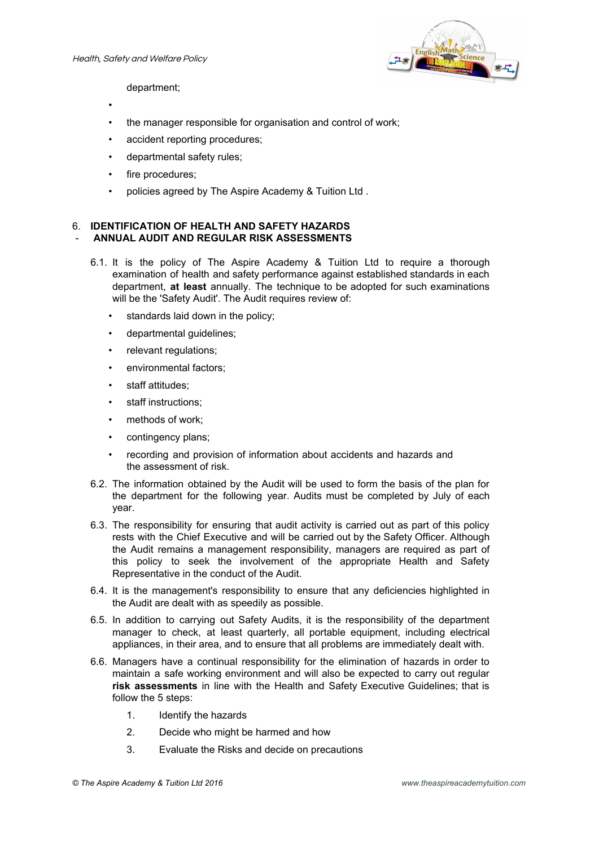

department;

- •
- the manager responsible for organisation and control of work;
- accident reporting procedures;
- departmental safety rules;
- fire procedures;
- policies agreed by The Aspire Academy & Tuition Ltd .

#### 6. **IDENTIFICATION OF HEALTH AND SAFETY HAZARDS** - **ANNUAL AUDIT AND REGULAR RISK ASSESSMENTS**

- 6.1. It is the policy of The Aspire Academy & Tuition Ltd to require a thorough examination of health and safety performance against established standards in each department, **at least** annually. The technique to be adopted for such examinations will be the 'Safety Audit'. The Audit requires review of:
	- standards laid down in the policy;
	- departmental guidelines;
	- relevant requlations;
	- environmental factors;
	- staff attitudes;
	- staff instructions;
	- methods of work:
	- contingency plans;
	- recording and provision of information about accidents and hazards and the assessment of risk.
- 6.2. The information obtained by the Audit will be used to form the basis of the plan for the department for the following year. Audits must be completed by July of each year.
- 6.3. The responsibility for ensuring that audit activity is carried out as part of this policy rests with the Chief Executive and will be carried out by the Safety Officer. Although the Audit remains a management responsibility, managers are required as part of this policy to seek the involvement of the appropriate Health and Safety Representative in the conduct of the Audit.
- 6.4. It is the management's responsibility to ensure that any deficiencies highlighted in the Audit are dealt with as speedily as possible.
- 6.5. In addition to carrying out Safety Audits, it is the responsibility of the department manager to check, at least quarterly, all portable equipment, including electrical appliances, in their area, and to ensure that all problems are immediately dealt with.
- 6.6. Managers have a continual responsibility for the elimination of hazards in order to maintain a safe working environment and will also be expected to carry out regular **risk assessments** in line with the Health and Safety Executive Guidelines; that is follow the 5 steps:
	- 1. Identify the hazards
	- 2. Decide who might be harmed and how
	- 3. Evaluate the Risks and decide on precautions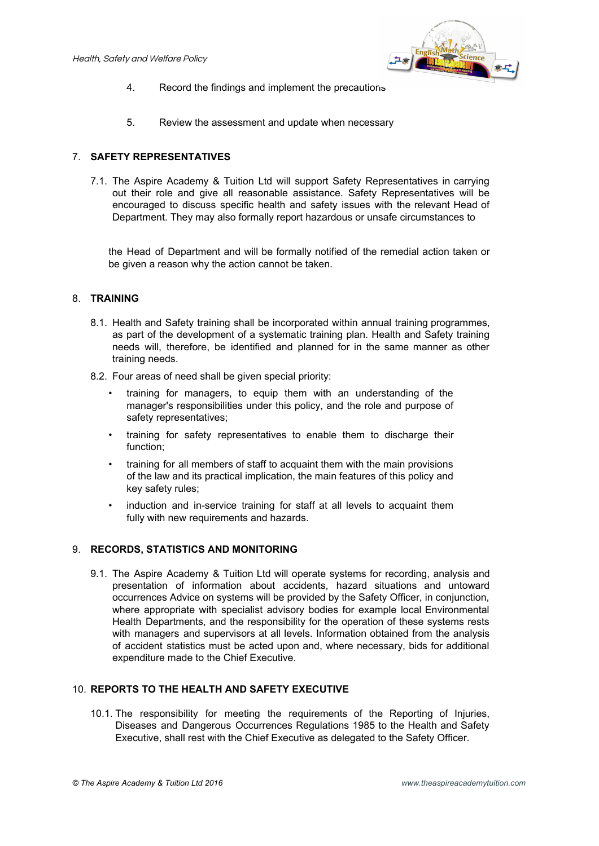

- 4. Record the findings and implement the precautions
- 5. Review the assessment and update when necessary

### 7. **SAFETY REPRESENTATIVES**

7.1. The Aspire Academy & Tuition Ltd will support Safety Representatives in carrying out their role and give all reasonable assistance. Safety Representatives will be encouraged to discuss specific health and safety issues with the relevant Head of Department. They may also formally report hazardous or unsafe circumstances to

the Head of Department and will be formally notified of the remedial action taken or be given a reason why the action cannot be taken.

# 8. **TRAINING**

- 8.1. Health and Safety training shall be incorporated within annual training programmes, as part of the development of a systematic training plan. Health and Safety training needs will, therefore, be identified and planned for in the same manner as other training needs.
- 8.2. Four areas of need shall be given special priority:
	- training for managers, to equip them with an understanding of the manager's responsibilities under this policy, and the role and purpose of safety representatives;
	- training for safety representatives to enable them to discharge their function;
	- training for all members of staff to acquaint them with the main provisions of the law and its practical implication, the main features of this policy and key safety rules;
	- induction and in-service training for staff at all levels to acquaint them fully with new requirements and hazards.

#### 9. **RECORDS, STATISTICS AND MONITORING**

9.1. The Aspire Academy & Tuition Ltd will operate systems for recording, analysis and presentation of information about accidents, hazard situations and untoward occurrences Advice on systems will be provided by the Safety Officer, in conjunction, where appropriate with specialist advisory bodies for example local Environmental Health Departments, and the responsibility for the operation of these systems rests with managers and supervisors at all levels. Information obtained from the analysis of accident statistics must be acted upon and, where necessary, bids for additional expenditure made to the Chief Executive.

#### 10. **REPORTS TO THE HEALTH AND SAFETY EXECUTIVE**

10.1. The responsibility for meeting the requirements of the Reporting of Injuries, Diseases and Dangerous Occurrences Regulations 1985 to the Health and Safety Executive, shall rest with the Chief Executive as delegated to the Safety Officer.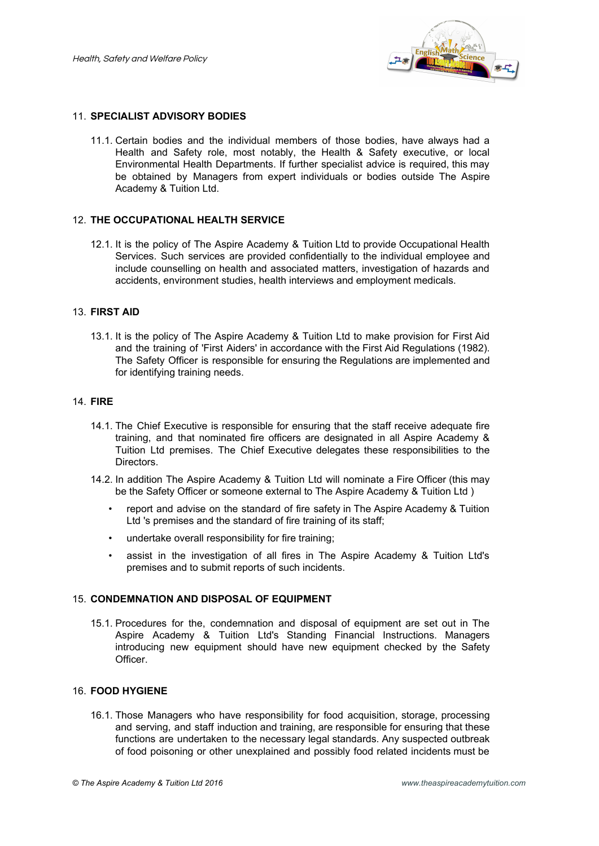

#### 11. **SPECIALIST ADVISORY BODIES**

11.1. Certain bodies and the individual members of those bodies, have always had a Health and Safety role, most notably, the Health & Safety executive, or local Environmental Health Departments. If further specialist advice is required, this may be obtained by Managers from expert individuals or bodies outside The Aspire Academy & Tuition Ltd.

#### 12. **THE OCCUPATIONAL HEALTH SERVICE**

12.1. It is the policy of The Aspire Academy & Tuition Ltd to provide Occupational Health Services. Such services are provided confidentially to the individual employee and include counselling on health and associated matters, investigation of hazards and accidents, environment studies, health interviews and employment medicals.

#### 13. **FIRST AID**

13.1. It is the policy of The Aspire Academy & Tuition Ltd to make provision for First Aid and the training of 'First Aiders' in accordance with the First Aid Regulations (1982). The Safety Officer is responsible for ensuring the Regulations are implemented and for identifying training needs.

#### 14. **FIRE**

- 14.1. The Chief Executive is responsible for ensuring that the staff receive adequate fire training, and that nominated fire officers are designated in all Aspire Academy & Tuition Ltd premises. The Chief Executive delegates these responsibilities to the Directors.
- 14.2. In addition The Aspire Academy & Tuition Ltd will nominate a Fire Officer (this may be the Safety Officer or someone external to The Aspire Academy & Tuition Ltd )
	- report and advise on the standard of fire safety in The Aspire Academy & Tuition Ltd 's premises and the standard of fire training of its staff;
	- undertake overall responsibility for fire training;
	- assist in the investigation of all fires in The Aspire Academy & Tuition Ltd's premises and to submit reports of such incidents.

#### 15. **CONDEMNATION AND DISPOSAL OF EQUIPMENT**

15.1. Procedures for the, condemnation and disposal of equipment are set out in The Aspire Academy & Tuition Ltd's Standing Financial Instructions. Managers introducing new equipment should have new equipment checked by the Safety Officer.

#### 16. **FOOD HYGIENE**

16.1. Those Managers who have responsibility for food acquisition, storage, processing and serving, and staff induction and training, are responsible for ensuring that these functions are undertaken to the necessary legal standards. Any suspected outbreak of food poisoning or other unexplained and possibly food related incidents must be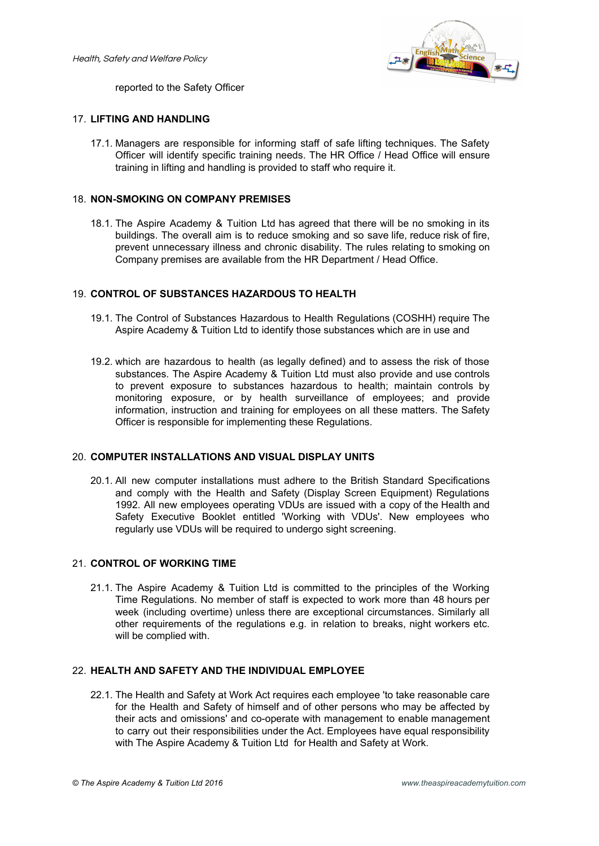

reported to the Safety Officer

#### 17. **LIFTING AND HANDLING**

17.1. Managers are responsible for informing staff of safe lifting techniques. The Safety Officer will identify specific training needs. The HR Office / Head Office will ensure training in lifting and handling is provided to staff who require it.

#### 18. **NON-SMOKING ON COMPANY PREMISES**

18.1. The Aspire Academy & Tuition Ltd has agreed that there will be no smoking in its buildings. The overall aim is to reduce smoking and so save life, reduce risk of fire, prevent unnecessary illness and chronic disability. The rules relating to smoking on Company premises are available from the HR Department / Head Office.

#### 19. **CONTROL OF SUBSTANCES HAZARDOUS TO HEALTH**

- 19.1. The Control of Substances Hazardous to Health Regulations (COSHH) require The Aspire Academy & Tuition Ltd to identify those substances which are in use and
- 19.2. which are hazardous to health (as legally defined) and to assess the risk of those substances. The Aspire Academy & Tuition Ltd must also provide and use controls to prevent exposure to substances hazardous to health; maintain controls by monitoring exposure, or by health surveillance of employees; and provide information, instruction and training for employees on all these matters. The Safety Officer is responsible for implementing these Regulations.

#### 20. **COMPUTER INSTALLATIONS AND VISUAL DISPLAY UNITS**

20.1. All new computer installations must adhere to the British Standard Specifications and comply with the Health and Safety (Display Screen Equipment) Regulations 1992. All new employees operating VDUs are issued with a copy of the Health and Safety Executive Booklet entitled 'Working with VDUs'. New employees who regularly use VDUs will be required to undergo sight screening.

#### 21. **CONTROL OF WORKING TIME**

21.1. The Aspire Academy & Tuition Ltd is committed to the principles of the Working Time Regulations. No member of staff is expected to work more than 48 hours per week (including overtime) unless there are exceptional circumstances. Similarly all other requirements of the regulations e.g. in relation to breaks, night workers etc. will be complied with.

#### 22. **HEALTH AND SAFETY AND THE INDIVIDUAL EMPLOYEE**

22.1. The Health and Safety at Work Act requires each employee 'to take reasonable care for the Health and Safety of himself and of other persons who may be affected by their acts and omissions' and co-operate with management to enable management to carry out their responsibilities under the Act. Employees have equal responsibility with The Aspire Academy & Tuition Ltd for Health and Safety at Work.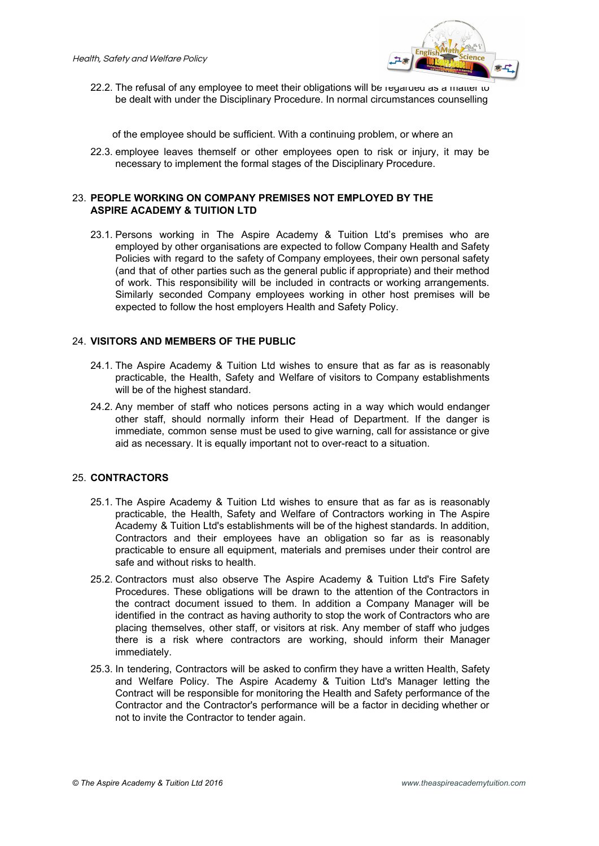

22.2. The refusal of any employee to meet their obligations will be regarded as a matter to be dealt with under the Disciplinary Procedure. In normal circumstances counselling

of the employee should be sufficient. With a continuing problem, or where an

22.3. employee leaves themself or other employees open to risk or injury, it may be necessary to implement the formal stages of the Disciplinary Procedure.

#### 23. **PEOPLE WORKING ON COMPANY PREMISES NOT EMPLOYED BY THE ASPIRE ACADEMY & TUITION LTD**

23.1. Persons working in The Aspire Academy & Tuition Ltd's premises who are employed by other organisations are expected to follow Company Health and Safety Policies with regard to the safety of Company employees, their own personal safety (and that of other parties such as the general public if appropriate) and their method of work. This responsibility will be included in contracts or working arrangements. Similarly seconded Company employees working in other host premises will be expected to follow the host employers Health and Safety Policy.

#### 24. **VISITORS AND MEMBERS OF THE PUBLIC**

- 24.1. The Aspire Academy & Tuition Ltd wishes to ensure that as far as is reasonably practicable, the Health, Safety and Welfare of visitors to Company establishments will be of the highest standard.
- 24.2. Any member of staff who notices persons acting in a way which would endanger other staff, should normally inform their Head of Department. If the danger is immediate, common sense must be used to give warning, call for assistance or give aid as necessary. It is equally important not to over-react to a situation.

#### 25. **CONTRACTORS**

- 25.1. The Aspire Academy & Tuition Ltd wishes to ensure that as far as is reasonably practicable, the Health, Safety and Welfare of Contractors working in The Aspire Academy & Tuition Ltd's establishments will be of the highest standards. In addition, Contractors and their employees have an obligation so far as is reasonably practicable to ensure all equipment, materials and premises under their control are safe and without risks to health.
- 25.2. Contractors must also observe The Aspire Academy & Tuition Ltd's Fire Safety Procedures. These obligations will be drawn to the attention of the Contractors in the contract document issued to them. In addition a Company Manager will be identified in the contract as having authority to stop the work of Contractors who are placing themselves, other staff, or visitors at risk. Any member of staff who judges there is a risk where contractors are working, should inform their Manager immediately.
- 25.3. In tendering, Contractors will be asked to confirm they have a written Health, Safety and Welfare Policy. The Aspire Academy & Tuition Ltd's Manager letting the Contract will be responsible for monitoring the Health and Safety performance of the Contractor and the Contractor's performance will be a factor in deciding whether or not to invite the Contractor to tender again.